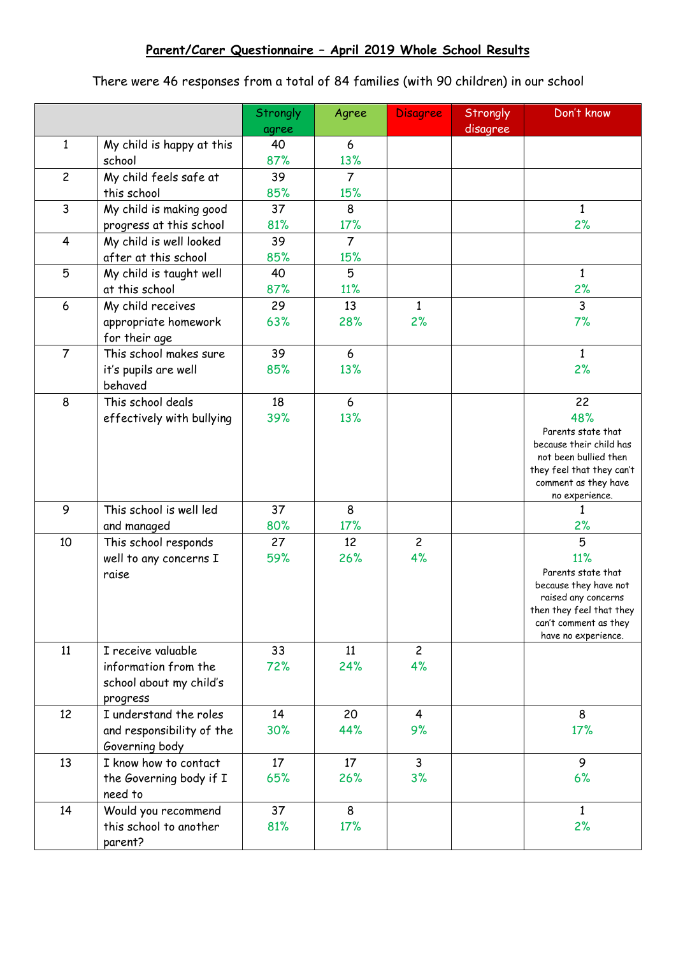There were 46 responses from a total of 84 families (with 90 children) in our school

|                |                           | Strongly<br>agree | Agree          | <b>Disagree</b> | Strongly<br>disagree | Don't know                                         |
|----------------|---------------------------|-------------------|----------------|-----------------|----------------------|----------------------------------------------------|
| $\mathbf{1}$   | My child is happy at this | 40                | 6              |                 |                      |                                                    |
|                | school                    | 87%               | 13%            |                 |                      |                                                    |
| $\overline{c}$ | My child feels safe at    | 39                | $\overline{7}$ |                 |                      |                                                    |
|                | this school               | 85%               | 15%            |                 |                      |                                                    |
| 3              | My child is making good   | 37                | 8              |                 |                      | $\mathbf{1}$                                       |
|                | progress at this school   | 81%               | 17%            |                 |                      | 2%                                                 |
| 4              | My child is well looked   | 39                | $\overline{7}$ |                 |                      |                                                    |
|                | after at this school      | 85%               | 15%            |                 |                      |                                                    |
| 5              | My child is taught well   | 40                | 5              |                 |                      | $\mathbf{1}$                                       |
|                | at this school            | 87%               | 11%            |                 |                      | 2%                                                 |
| 6              | My child receives         | 29                | 13             | $\mathbf{1}$    |                      | 3                                                  |
|                | appropriate homework      | 63%               | 28%            | 2%              |                      | 7%                                                 |
|                | for their age             |                   |                |                 |                      |                                                    |
| $\overline{7}$ | This school makes sure    | 39                | 6              |                 |                      | $\mathbf{1}$                                       |
|                | it's pupils are well      | 85%               | 13%            |                 |                      | 2%                                                 |
|                | behaved                   |                   |                |                 |                      |                                                    |
| 8              | This school deals         | 18                | 6              |                 |                      | 22                                                 |
|                | effectively with bullying | 39%               | 13%            |                 |                      | 48%                                                |
|                |                           |                   |                |                 |                      | Parents state that                                 |
|                |                           |                   |                |                 |                      | because their child has                            |
|                |                           |                   |                |                 |                      | not been bullied then<br>they feel that they can't |
|                |                           |                   |                |                 |                      | comment as they have                               |
|                |                           |                   |                |                 |                      | no experience.                                     |
| 9              | This school is well led   | 37                | 8              |                 |                      | $\mathbf{1}$                                       |
|                | and managed               | 80%               | 17%            |                 |                      | 2%                                                 |
| 10             | This school responds      | 27                | 12             | $\overline{c}$  |                      | 5                                                  |
|                | well to any concerns I    | 59%               | 26%            | 4%              |                      | 11%                                                |
|                | raise                     |                   |                |                 |                      | Parents state that                                 |
|                |                           |                   |                |                 |                      | because they have not<br>raised any concerns       |
|                |                           |                   |                |                 |                      | then they feel that they                           |
|                |                           |                   |                |                 |                      | can't comment as they                              |
|                |                           |                   |                |                 |                      | have no experience.                                |
| 11             | I receive valuable        | 33                | 11             | $\overline{2}$  |                      |                                                    |
|                | information from the      | 72%               | 24%            | 4%              |                      |                                                    |
|                | school about my child's   |                   |                |                 |                      |                                                    |
|                | progress                  |                   |                |                 |                      |                                                    |
| 12             | I understand the roles    | 14                | 20             | $\overline{4}$  |                      | 8                                                  |
|                | and responsibility of the | 30%               | 44%            | 9%              |                      | 17%                                                |
|                | Governing body            |                   |                |                 |                      |                                                    |
| 13             | I know how to contact     | 17                | 17             | 3               |                      | 9                                                  |
|                | the Governing body if I   | 65%               | 26%            | 3%              |                      | 6%                                                 |
|                | need to                   |                   |                |                 |                      |                                                    |
| 14             | Would you recommend       | 37                | 8              |                 |                      | $\mathbf{1}$                                       |
|                | this school to another    | 81%               | 17%            |                 |                      | 2%                                                 |
|                | parent?                   |                   |                |                 |                      |                                                    |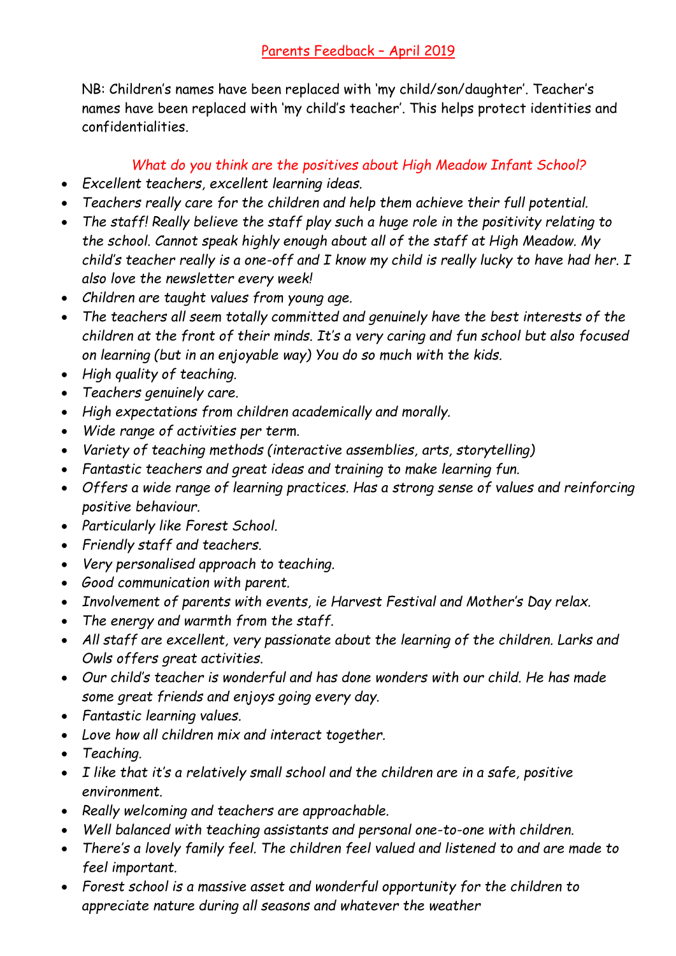NB: Children's names have been replaced with 'my child/son/daughter'. Teacher's names have been replaced with 'my child's teacher'. This helps protect identities and confidentialities.

## *What do you think are the positives about High Meadow Infant School?*

- *Excellent teachers, excellent learning ideas.*
- *Teachers really care for the children and help them achieve their full potential.*
- *The staff! Really believe the staff play such a huge role in the positivity relating to the school. Cannot speak highly enough about all of the staff at High Meadow. My child's teacher really is a one-off and I know my child is really lucky to have had her. I also love the newsletter every week!*
- *Children are taught values from young age.*
- *The teachers all seem totally committed and genuinely have the best interests of the children at the front of their minds. It's a very caring and fun school but also focused on learning (but in an enjoyable way) You do so much with the kids.*
- *High quality of teaching.*
- *Teachers genuinely care.*
- *High expectations from children academically and morally.*
- *Wide range of activities per term.*
- *Variety of teaching methods (interactive assemblies, arts, storytelling)*
- *Fantastic teachers and great ideas and training to make learning fun.*
- *Offers a wide range of learning practices. Has a strong sense of values and reinforcing positive behaviour.*
- *Particularly like Forest School.*
- *Friendly staff and teachers.*
- *Very personalised approach to teaching.*
- *Good communication with parent.*
- *Involvement of parents with events, ie Harvest Festival and Mother's Day relax.*
- *The energy and warmth from the staff.*
- *All staff are excellent, very passionate about the learning of the children. Larks and Owls offers great activities.*
- *Our child's teacher is wonderful and has done wonders with our child. He has made some great friends and enjoys going every day.*
- *Fantastic learning values.*
- *Love how all children mix and interact together.*
- *Teaching.*
- *I like that it's a relatively small school and the children are in a safe, positive environment.*
- *Really welcoming and teachers are approachable.*
- *Well balanced with teaching assistants and personal one-to-one with children.*
- *There's a lovely family feel. The children feel valued and listened to and are made to feel important.*
- *Forest school is a massive asset and wonderful opportunity for the children to appreciate nature during all seasons and whatever the weather*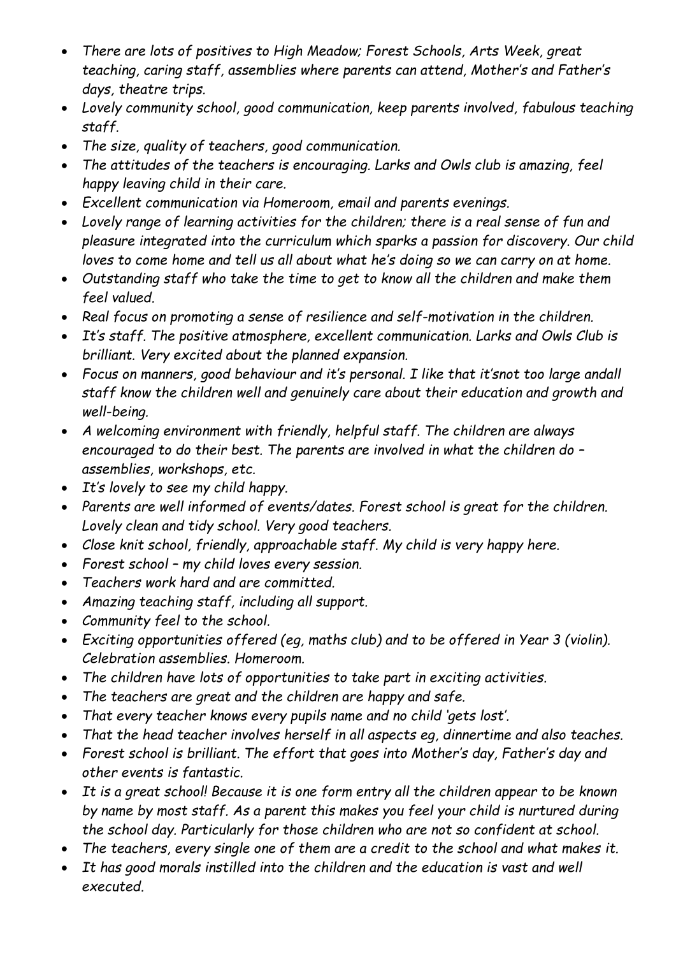- *There are lots of positives to High Meadow; Forest Schools, Arts Week, great teaching, caring staff, assemblies where parents can attend, Mother's and Father's days, theatre trips.*
- *Lovely community school, good communication, keep parents involved, fabulous teaching staff.*
- *The size, quality of teachers, good communication.*
- *The attitudes of the teachers is encouraging. Larks and Owls club is amazing, feel happy leaving child in their care.*
- *Excellent communication via Homeroom, email and parents evenings.*
- *Lovely range of learning activities for the children; there is a real sense of fun and pleasure integrated into the curriculum which sparks a passion for discovery. Our child loves to come home and tell us all about what he's doing so we can carry on at home.*
- *Outstanding staff who take the time to get to know all the children and make them feel valued.*
- *Real focus on promoting a sense of resilience and self-motivation in the children.*
- *It's staff. The positive atmosphere, excellent communication. Larks and Owls Club is brilliant. Very excited about the planned expansion.*
- *Focus on manners, good behaviour and it's personal. I like that it'snot too large andall staff know the children well and genuinely care about their education and growth and well-being.*
- *A welcoming environment with friendly, helpful staff. The children are always encouraged to do their best. The parents are involved in what the children do – assemblies, workshops, etc.*
- *It's lovely to see my child happy.*
- *Parents are well informed of events/dates. Forest school is great for the children. Lovely clean and tidy school. Very good teachers.*
- *Close knit school, friendly, approachable staff. My child is very happy here.*
- *Forest school – my child loves every session.*
- *Teachers work hard and are committed.*
- *Amazing teaching staff, including all support.*
- *Community feel to the school.*
- *Exciting opportunities offered (eg, maths club) and to be offered in Year 3 (violin). Celebration assemblies. Homeroom.*
- *The children have lots of opportunities to take part in exciting activities.*
- *The teachers are great and the children are happy and safe.*
- *That every teacher knows every pupils name and no child 'gets lost'.*
- *That the head teacher involves herself in all aspects eg, dinnertime and also teaches.*
- *Forest school is brilliant. The effort that goes into Mother's day, Father's day and other events is fantastic.*
- *It is a great school! Because it is one form entry all the children appear to be known by name by most staff. As a parent this makes you feel your child is nurtured during the school day. Particularly for those children who are not so confident at school.*
- *The teachers, every single one of them are a credit to the school and what makes it.*
- *It has good morals instilled into the children and the education is vast and well executed.*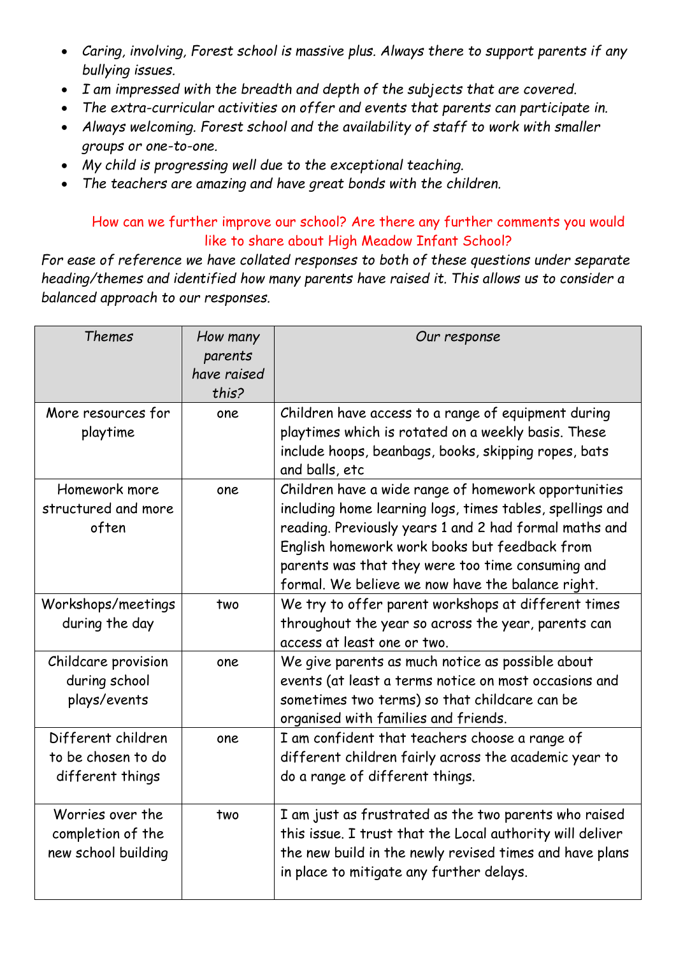- *Caring, involving, Forest school is massive plus. Always there to support parents if any bullying issues.*
- *I am impressed with the breadth and depth of the subjects that are covered.*
- *The extra-curricular activities on offer and events that parents can participate in.*
- *Always welcoming. Forest school and the availability of staff to work with smaller groups or one-to-one.*
- *My child is progressing well due to the exceptional teaching.*
- *The teachers are amazing and have great bonds with the children.*

## How can we further improve our school? Are there any further comments you would like to share about High Meadow Infant School?

*For ease of reference we have collated responses to both of these questions under separate heading/themes and identified how many parents have raised it. This allows us to consider a balanced approach to our responses.*

| <b>Themes</b>                                                | How many<br>parents<br>have raised<br>this? | Our response                                                                                                                                                                                                                                                                                                                           |
|--------------------------------------------------------------|---------------------------------------------|----------------------------------------------------------------------------------------------------------------------------------------------------------------------------------------------------------------------------------------------------------------------------------------------------------------------------------------|
| More resources for<br>playtime                               | one                                         | Children have access to a range of equipment during<br>playtimes which is rotated on a weekly basis. These<br>include hoops, beanbags, books, skipping ropes, bats<br>and balls, etc                                                                                                                                                   |
| Homework more<br>structured and more<br>often                | one                                         | Children have a wide range of homework opportunities<br>including home learning logs, times tables, spellings and<br>reading. Previously years 1 and 2 had formal maths and<br>English homework work books but feedback from<br>parents was that they were too time consuming and<br>formal. We believe we now have the balance right. |
| Workshops/meetings<br>during the day                         | two                                         | We try to offer parent workshops at different times<br>throughout the year so across the year, parents can<br>access at least one or two.                                                                                                                                                                                              |
| Childcare provision<br>during school<br>plays/events         | one                                         | We give parents as much notice as possible about<br>events (at least a terms notice on most occasions and<br>sometimes two terms) so that childcare can be<br>organised with families and friends.                                                                                                                                     |
| Different children<br>to be chosen to do<br>different things | one                                         | I am confident that teachers choose a range of<br>different children fairly across the academic year to<br>do a range of different things.                                                                                                                                                                                             |
| Worries over the<br>completion of the<br>new school building | two                                         | I am just as frustrated as the two parents who raised<br>this issue. I trust that the Local authority will deliver<br>the new build in the newly revised times and have plans<br>in place to mitigate any further delays.                                                                                                              |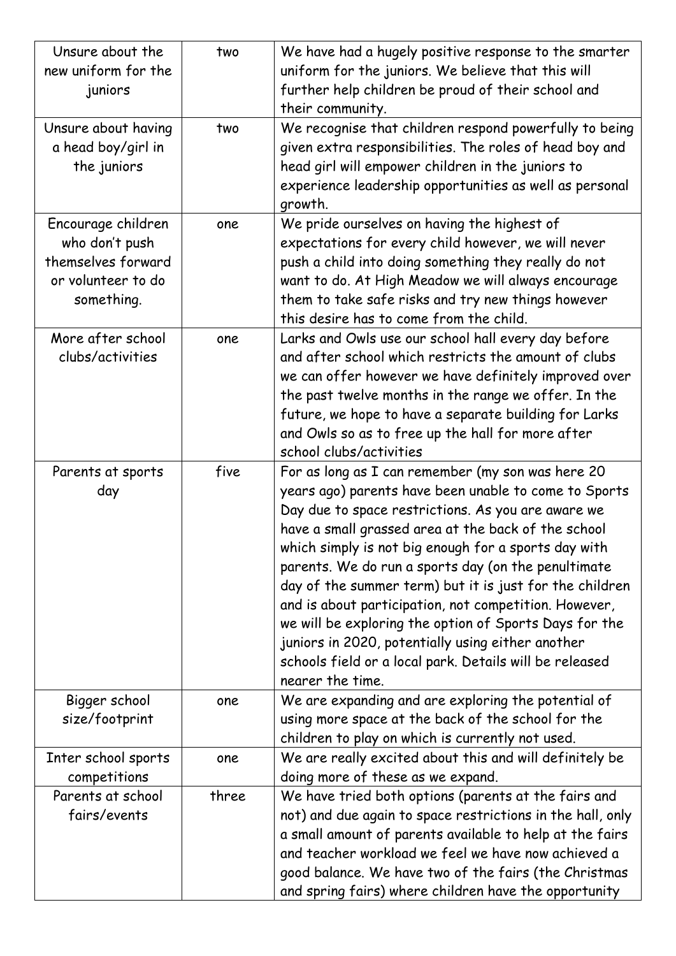| Unsure about the<br>new uniform for the<br>juniors                                             | two   | We have had a hugely positive response to the smarter<br>uniform for the juniors. We believe that this will<br>further help children be proud of their school and<br>their community.                                                                                                                                                                                                                                                                                                                                                                                                                                                                    |
|------------------------------------------------------------------------------------------------|-------|----------------------------------------------------------------------------------------------------------------------------------------------------------------------------------------------------------------------------------------------------------------------------------------------------------------------------------------------------------------------------------------------------------------------------------------------------------------------------------------------------------------------------------------------------------------------------------------------------------------------------------------------------------|
| Unsure about having<br>a head boy/girl in<br>the juniors                                       | two   | We recognise that children respond powerfully to being<br>given extra responsibilities. The roles of head boy and<br>head girl will empower children in the juniors to<br>experience leadership opportunities as well as personal<br>growth.                                                                                                                                                                                                                                                                                                                                                                                                             |
| Encourage children<br>who don't push<br>themselves forward<br>or volunteer to do<br>something. | one   | We pride ourselves on having the highest of<br>expectations for every child however, we will never<br>push a child into doing something they really do not<br>want to do. At High Meadow we will always encourage<br>them to take safe risks and try new things however<br>this desire has to come from the child.                                                                                                                                                                                                                                                                                                                                       |
| More after school<br>clubs/activities                                                          | one   | Larks and Owls use our school hall every day before<br>and after school which restricts the amount of clubs<br>we can offer however we have definitely improved over<br>the past twelve months in the range we offer. In the<br>future, we hope to have a separate building for Larks<br>and Owls so as to free up the hall for more after<br>school clubs/activities                                                                                                                                                                                                                                                                                    |
| Parents at sports<br>day                                                                       | five  | For as long as I can remember (my son was here 20<br>years ago) parents have been unable to come to Sports<br>Day due to space restrictions. As you are aware we<br>have a small grassed area at the back of the school<br>which simply is not big enough for a sports day with<br>parents. We do run a sports day (on the penultimate<br>day of the summer term) but it is just for the children<br>and is about participation, not competition. However,<br>we will be exploring the option of Sports Days for the<br>juniors in 2020, potentially using either another<br>schools field or a local park. Details will be released<br>nearer the time. |
| Bigger school<br>size/footprint                                                                | one   | We are expanding and are exploring the potential of<br>using more space at the back of the school for the<br>children to play on which is currently not used.                                                                                                                                                                                                                                                                                                                                                                                                                                                                                            |
| Inter school sports<br>competitions                                                            | one   | We are really excited about this and will definitely be<br>doing more of these as we expand.                                                                                                                                                                                                                                                                                                                                                                                                                                                                                                                                                             |
| Parents at school<br>fairs/events                                                              | three | We have tried both options (parents at the fairs and<br>not) and due again to space restrictions in the hall, only<br>a small amount of parents available to help at the fairs<br>and teacher workload we feel we have now achieved a<br>good balance. We have two of the fairs (the Christmas<br>and spring fairs) where children have the opportunity                                                                                                                                                                                                                                                                                                  |